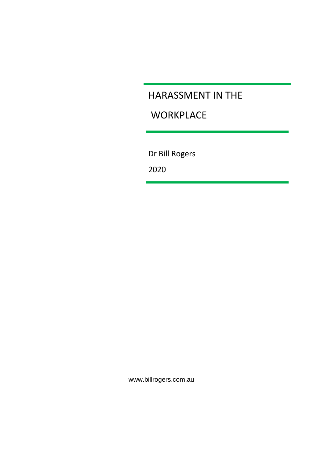# HARASSMENT IN THE

## **WORKPLACE**

Dr Bill Rogers

2020

Ī

www.billrogers.com.au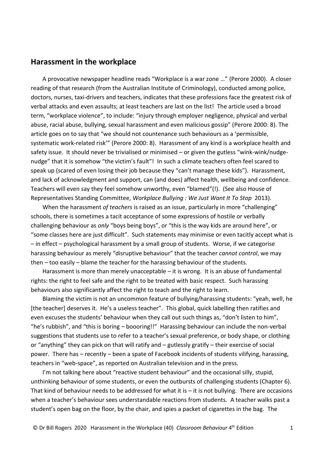## **Harassment in the workplace**

A provocative newspaper headline reads "Workplace is a war zone …" (Perore 2000). A closer reading of that research (from the Australian Institute of Criminology), conducted among police, doctors, nurses, taxi-drivers and teachers, indicates that these professions face the greatest risk of verbal attacks and even assaults; at least teachers are last on the list! The article used a broad term, "workplace violence", to include: "injury through employer negligence, physical and verbal abuse, racial abuse, bullying, sexual harassment and even malicious gossip" (Perore 2000: 8). The article goes on to say that "we should not countenance such behaviours as a 'permissible, systematic work-related risk'" (Perore 2000: 8). Harassment of any kind is a workplace health and safety issue. It should never be trivialised or minimised – or given the gutless "wink-wink/nudgenudge" that it is somehow "the victim's fault"! In such a climate teachers often feel scared to speak up (scared of even losing their job because they "can't manage these kids"). Harassment, and lack of acknowledgment and support, can (and does) affect health, wellbeing and confidence. Teachers will even say they feel somehow unworthy, even "blamed"(!). (See also House of Representatives Standing Committee, *Workplace Bullying : We Just Want It To Stop* 2013).

When the harassment *of teachers* is raised as an issue, particularly in more "challenging" schools, there is sometimes a tacit acceptance of some expressions of hostile or verbally challenging behaviour as *only* "boys being boys", or "this is the way kids are around here", or "some classes here are just difficult". Such statements may minimise or even tacitly accept what is – in effect – psychological harassment by a small group of students. Worse, if we categorise harassing behaviour as merely "disruptive behaviour" that the teacher *cannot control*, we may then – too easily – blame the teacher for the harassing behaviour of the students.

Harassment is more than merely unacceptable – it is wrong. It is an abuse of fundamental rights: the right to feel safe and the right to be treated with basic respect. Such harassing behaviours also significantly affect the right to teach and the right to learn.

Blaming the victim is not an uncommon feature of bullying/harassing students: "yeah, well, he [the teacher] deserves it. He's a useless teacher". This global, quick labelling then ratifies and even excuses the students' behaviour when they call out such things as, "don't listen to him", "he's rubbish", and "this is boring – boooring!!" Harassing behaviour can include the non-verbal suggestions that students use to refer to a teacher's sexual preference, or body shape, or clothing or "anything" they can pick on that will ratify and – gutlessly gratify – their exercise of social power. There has – recently – been a spate of Facebook incidents of students vilifying, harassing, teachers in "web-space", as reported on Australian television and in the press.

I'm not talking here about "reactive student behaviour" and the occasional silly, stupid, unthinking behaviour of some students, or even the outbursts of challenging students (Chapter 6). That kind of behaviour needs to be addressed for what it is  $-$  it is not bullying. There are occasions when a teacher's behaviour sees understandable reactions from students. A teacher walks past a student's open bag on the floor, by the chair, and spies a packet of cigarettes in the bag. The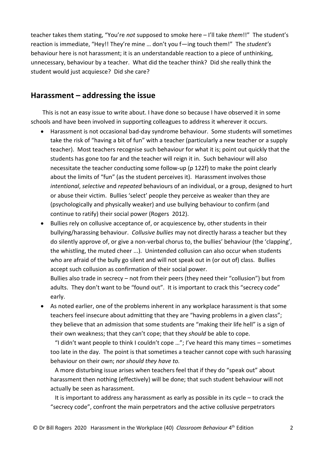teacher takes them stating, "You're *not* supposed to smoke here – I'll take *them*!!" The student's reaction is immediate, "Hey!! They're mine … don't you f—ing touch them!" The *student's*  behaviour here is not harassment; it is an understandable reaction to a piece of unthinking, unnecessary, behaviour by a teacher. What did the teacher think? Did she really think the student would just acquiesce? Did she care?

## **Harassment – addressing the issue**

This is not an easy issue to write about. I have done so because I have observed it in some schools and have been involved in supporting colleagues to address it wherever it occurs.

- Harassment is not occasional bad-day syndrome behaviour. Some students will sometimes take the risk of "having a bit of fun" with a teacher (particularly a new teacher or a supply teacher). Most teachers recognise such behaviour for what it is; point out quickly that the students has gone too far and the teacher will reign it in. Such behaviour will also necessitate the teacher conducting some follow-up (p 122f) to make the point clearly about the limits of "fun" (as the student perceives it). Harassment involves those *intentional*, *selective* and *repeated* behaviours of an individual, or a group, designed to hurt or abuse their victim. Bullies 'select' people they perceive as weaker than they are (psychologically and physically weaker) and use bullying behaviour to confirm (and continue to ratify) their social power (Rogers 2012).
- Bullies rely on collusive acceptance of, or acquiescence by, other students in their bullying/harassing behaviour. *Collusive bullies* may not directly harass a teacher but they do silently approve of, or give a non-verbal chorus to, the bullies' behaviour (the 'clapping', the whistling, the muted cheer ...). Unintended collusion can also occur when students who are afraid of the bully go silent and will not speak out in (or out of) class. Bullies accept such collusion as confirmation of their social power. Bullies also trade in secrecy – not from their peers (they need their "collusion") but from

adults. They don't want to be "found out". It is important to crack this "secrecy code" early.

• As noted earlier, one of the problems inherent in any workplace harassment is that some teachers feel insecure about admitting that they are "having problems in a given class"; they believe that an admission that some students are "making their life hell" is a sign of their own weakness; that they can't cope; that they *should* be able to cope.

 "I didn't want people to think I couldn't cope …"; I've heard this many times – sometimes too late in the day. The point is that sometimes a teacher cannot cope with such harassing behaviour on their own; *nor should they have to.*

 A more disturbing issue arises when teachers feel that if they do "speak out" about harassment then nothing (effectively) will be done; that such student behaviour will not actually be seen as harassment.

 It is important to address any harassment as early as possible in its cycle – to crack the "secrecy code", confront the main perpetrators and the active collusive perpetrators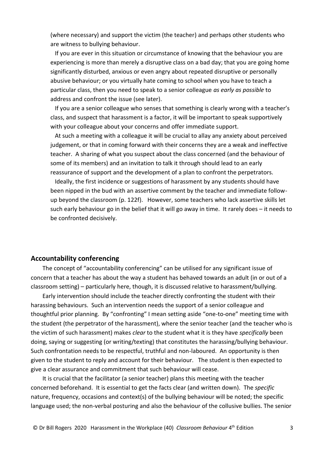(where necessary) and support the victim (the teacher) and perhaps other students who are witness to bullying behaviour.

 If you are ever in this situation or circumstance of knowing that the behaviour you are experiencing is more than merely a disruptive class on a bad day; that you are going home significantly disturbed, anxious or even angry about repeated disruptive or personally abusive behaviour; or you virtually hate coming to school when you have to teach a particular class, then you need to speak to a senior colleague *as early as possible* to address and confront the issue (see later).

 If you are a senior colleague who senses that something is clearly wrong with a teacher's class, and suspect that harassment is a factor, it will be important to speak supportively with your colleague about your concerns and offer immediate support.

 At such a meeting with a colleague it will be crucial to allay any anxiety about perceived judgement, or that in coming forward with their concerns they are a weak and ineffective teacher. A sharing of what you suspect about the class concerned (and the behaviour of some of its members) and an invitation to talk it through should lead to an early reassurance of support and the development of a plan to confront the perpetrators.

 Ideally, the first incidence or suggestions of harassment by any students should have been nipped in the bud with an assertive comment by the teacher and immediate followup beyond the classroom (p. 122f). However, some teachers who lack assertive skills let such early behaviour go in the belief that it will go away in time. It rarely does – it needs to be confronted decisively.

#### **Accountability conferencing**

The concept of "accountability conferencing" can be utilised for any significant issue of concern that a teacher has about the way a student has behaved towards an adult (in or out of a classroom setting) – particularly here, though, it is discussed relative to harassment/bullying.

Early intervention should include the teacher directly confronting the student with their harassing behaviours. Such an intervention needs the support of a senior colleague and thoughtful prior planning. By "confronting" I mean setting aside "one-to-one" meeting time with the student (the perpetrator of the harassment), where the senior teacher (and the teacher who is the victim of such harassment) makes *clear* to the student what it is they have *specifically* been doing, saying or suggesting (or writing/texting) that constitutes the harassing/bullying behaviour. Such confrontation needs to be respectful, truthful and non-laboured. An opportunity is then given to the student to reply and account for their behaviour. The student is then expected to give a clear assurance and commitment that such behaviour will cease.

It is crucial that the facilitator (a senior teacher) plans this meeting with the teacher concerned beforehand. It is essential to get the facts clear (and written down). The *specific*  nature, frequency, occasions and context(s) of the bullying behaviour will be noted; the specific language used; the non-verbal posturing and also the behaviour of the collusive bullies. The senior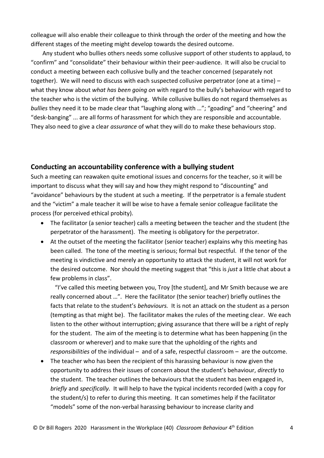colleague will also enable their colleague to think through the order of the meeting and how the different stages of the meeting might develop towards the desired outcome.

Any student who bullies others needs some collusive support of other students to applaud, to "confirm" and "consolidate" their behaviour within their peer-audience. It will also be crucial to conduct a meeting between each collusive bully and the teacher concerned (separately not together). We will need to discuss with each suspected collusive perpetrator (one at a time) – what they know about *what has been going on* with regard to the bully's behaviour with regard to the teacher who is the victim of the bullying. While collusive bullies do not regard themselves as *bullies* they need it to be made clear that "laughing along with …"; "goading" and "cheering" and "desk-banging" ... are all forms of harassment for which they are responsible and accountable. They also need to give a clear *assurance* of what they will do to make these behaviours stop.

### **Conducting an accountability conference with a bullying student**

Such a meeting can reawaken quite emotional issues and concerns for the teacher, so it will be important to discuss what they will say and how they might respond to "discounting" and "avoidance" behaviours by the student at such a meeting. If the perpetrator is a female student and the "victim" a male teacher it will be wise to have a female senior colleague facilitate the process (for perceived ethical probity).

- The facilitator (a senior teacher) calls a meeting between the teacher and the student (the perpetrator of the harassment). The meeting is obligatory for the perpetrator.
- At the outset of the meeting the facilitator (senior teacher) explains why this meeting has been called. The tone of the meeting is serious; formal but respectful. If the tenor of the meeting is vindictive and merely an opportunity to attack the student, it will not work for the desired outcome. Nor should the meeting suggest that "this is *just* a little chat about a few problems in class".

 "I've called this meeting between you, Troy [the student], and Mr Smith because we are really concerned about …". Here the facilitator (the senior teacher) briefly outlines the facts that relate to the student's *behaviours.* It is not an attack on the student as a person (tempting as that might be). The facilitator makes the rules of the meeting clear. We each listen to the other without interruption; giving assurance that there will be a right of reply for the student. The aim of the meeting is to determine what has been happening (in the classroom or wherever) and to make sure that the upholding of the rights and *responsibilities* of the individual – and of a safe, respectful classroom – are the outcome.

• The teacher who has been the recipient of this harassing behaviour is now given the opportunity to address their issues of concern about the student's behaviour, *directly* to the student. The teacher outlines the behaviours that the student has been engaged in, *briefly* and *specifically.* It will help to have the typical incidents recorded (with a copy for the student/s) to refer to during this meeting. It can sometimes help if the facilitator "models" some of the non-verbal harassing behaviour to increase clarity and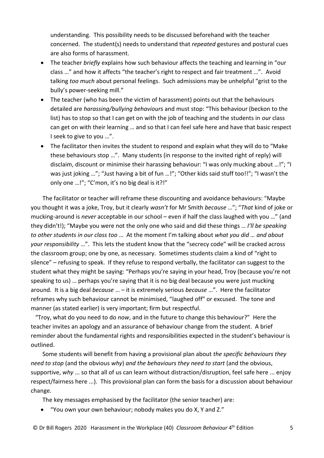understanding. This possibility needs to be discussed beforehand with the teacher concerned. The student(s) needs to understand that *repeated* gestures and postural cues are also forms of harassment.

- The teacher *briefly* explains how such behaviour affects the teaching and learning in "our class …" and how it affects "the teacher's right to respect and fair treatment …". Avoid talking *too much* about personal feelings. Such admissions may be unhelpful "grist to the bully's power-seeking mill."
- The teacher (who has been the victim of harassment) points out that the behaviours detailed are *harassing/bullying behaviours* and must stop: "This behaviour (beckon to the list) has to stop so that I can get on with the job of teaching and the students in *our* class can get on with their learning … and so that I can feel safe here and have that basic respect I seek to give to you …".
- The facilitator then invites the student to respond and explain what they will do to "Make these behaviours stop …". Many students (in response to the invited right of reply) will disclaim, discount or minimise their harassing behaviour: "I was only mucking about …!"; "I was just joking ..."; "Just having a bit of fun ...!"; "Other kids said stuff too!!"; "I wasn't the only one …!"; "C'mon, it's no big deal is it?!"

The facilitator or teacher will reframe these discounting and avoidance behaviours: "Maybe you thought it was a joke, Troy, but it clearly *wasn't* for Mr Smith *because* …"; "*That* kind of joke or mucking-around is *never* acceptable in our school – even if half the class laughed with you …" (and they didn't!); "Maybe you were not the only one who said and did these things … *I'll be speaking to other students in our class too* … At the moment I'm talking about *what you did … and about your responsibility* …". This lets the student know that the "secrecy code" will be cracked across the classroom group; one by one, as necessary. Sometimes students claim a kind of "right to silence" – refusing to speak. If they refuse to respond verbally, the facilitator can suggest to the student what they might be saying: "Perhaps you're saying in your head, Troy (because you're not speaking to us) … perhaps you're saying that it is no big deal because you were just mucking around. It is a big deal *because* … – it is extremely serious *because* …". Here the facilitator reframes why such behaviour cannot be minimised, "laughed off" or excused. The tone and manner (as stated earlier) is very important; firm but respectful.

 "Troy, what do you need to do *now*, and in the future to change this behaviour?" Here the teacher invites an apology and an assurance of behaviour change from the student. A brief reminder about the fundamental rights and responsibilities expected in the student's behaviour is outlined.

Some students will benefit from having a provisional plan about *the specific behaviours they need to stop* (and the obvious *why*) *and the behaviours they need to start* (and the obvious, supportive, *why* ... so that all of us can learn without distraction/disruption, feel safe here ... enjoy respect/fairness here ...). This provisional plan can form the basis for a discussion about behaviour change.

The key messages emphasised by the facilitator (the senior teacher) are:

• "You own your own behaviour; nobody makes you do X, Y and Z."